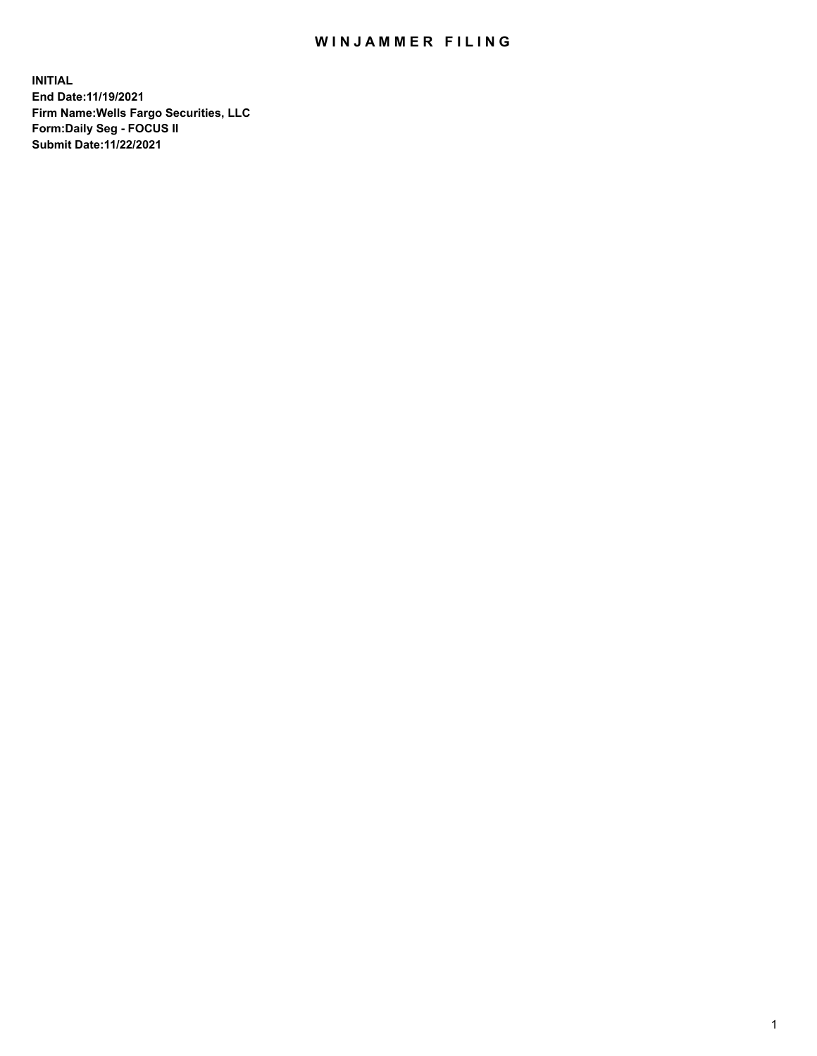## WIN JAMMER FILING

**INITIAL End Date:11/19/2021 Firm Name:Wells Fargo Securities, LLC Form:Daily Seg - FOCUS II Submit Date:11/22/2021**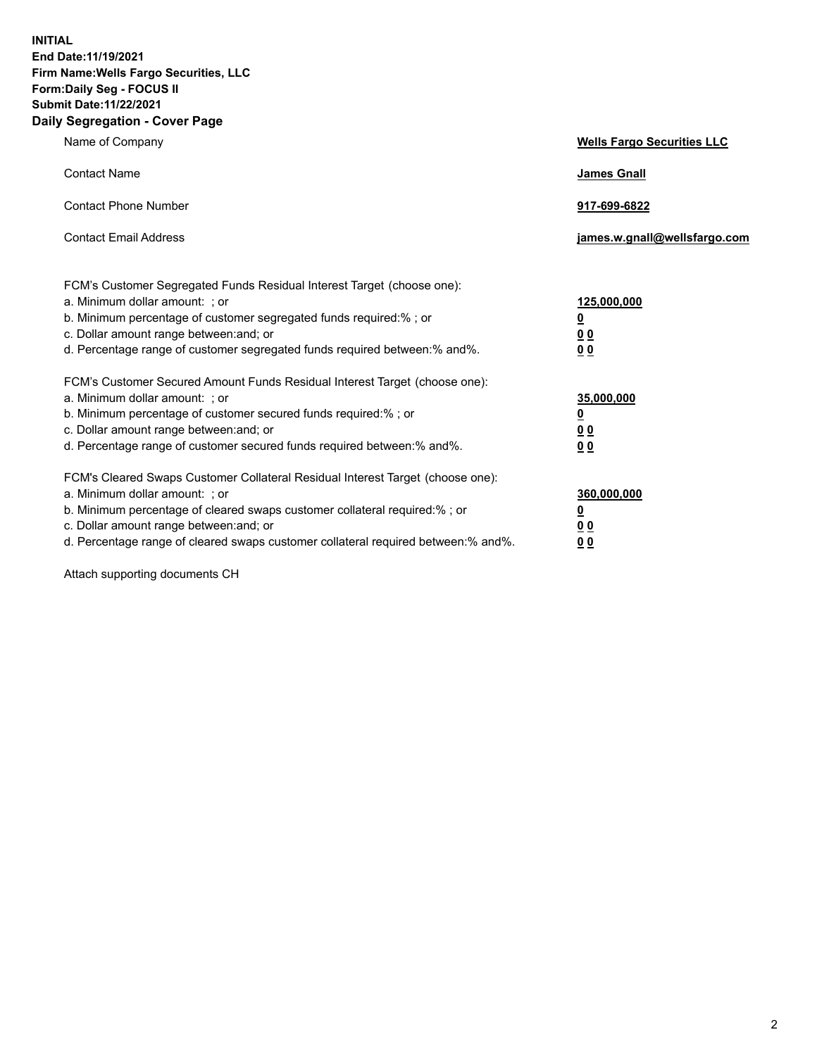**INITIAL End Date:11/19/2021 Firm Name:Wells Fargo Securities, LLC Form:Daily Seg - FOCUS II Submit Date:11/22/2021 Daily Segregation - Cover Page**

| Name of Company                                                                                                                                                                                                                                                                                                                | <b>Wells Fargo Securities LLC</b>                             |
|--------------------------------------------------------------------------------------------------------------------------------------------------------------------------------------------------------------------------------------------------------------------------------------------------------------------------------|---------------------------------------------------------------|
| <b>Contact Name</b>                                                                                                                                                                                                                                                                                                            | <b>James Gnall</b>                                            |
| <b>Contact Phone Number</b>                                                                                                                                                                                                                                                                                                    | 917-699-6822                                                  |
| <b>Contact Email Address</b>                                                                                                                                                                                                                                                                                                   | james.w.gnall@wellsfargo.com                                  |
| FCM's Customer Segregated Funds Residual Interest Target (choose one):<br>a. Minimum dollar amount: ; or<br>b. Minimum percentage of customer segregated funds required:% ; or<br>c. Dollar amount range between: and; or<br>d. Percentage range of customer segregated funds required between:% and%.                         | 125,000,000<br><u>0</u><br>0 <sub>0</sub><br>0 <sub>0</sub>   |
| FCM's Customer Secured Amount Funds Residual Interest Target (choose one):<br>a. Minimum dollar amount: ; or<br>b. Minimum percentage of customer secured funds required:%; or<br>c. Dollar amount range between: and; or<br>d. Percentage range of customer secured funds required between:% and%.                            | 35,000,000<br>$\overline{\mathbf{0}}$<br>00<br>0 <sub>0</sub> |
| FCM's Cleared Swaps Customer Collateral Residual Interest Target (choose one):<br>a. Minimum dollar amount: ; or<br>b. Minimum percentage of cleared swaps customer collateral required:% ; or<br>c. Dollar amount range between: and; or<br>d. Percentage range of cleared swaps customer collateral required between:% and%. | 360,000,000<br><u>0</u><br>00<br>00                           |

Attach supporting documents CH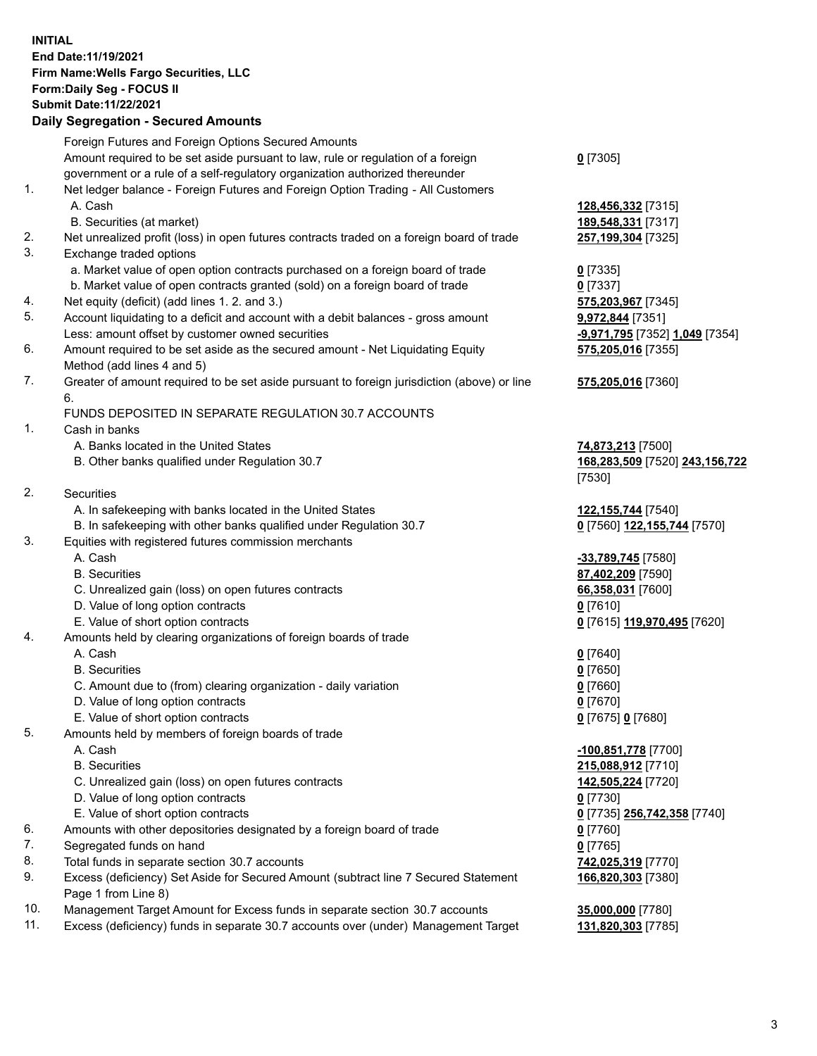## **INITIAL End Date:11/19/2021 Firm Name:Wells Fargo Securities, LLC Form:Daily Seg - FOCUS II Submit Date:11/22/2021**

## **Daily Segregation - Secured Amounts**

|     | Foreign Futures and Foreign Options Secured Amounts                                         |                                |
|-----|---------------------------------------------------------------------------------------------|--------------------------------|
|     | Amount required to be set aside pursuant to law, rule or regulation of a foreign            | $0$ [7305]                     |
|     | government or a rule of a self-regulatory organization authorized thereunder                |                                |
| 1.  | Net ledger balance - Foreign Futures and Foreign Option Trading - All Customers             |                                |
|     | A. Cash                                                                                     | 128,456,332 [7315]             |
|     | B. Securities (at market)                                                                   | 189,548,331 [7317]             |
| 2.  | Net unrealized profit (loss) in open futures contracts traded on a foreign board of trade   | 257,199,304 [7325]             |
| 3.  | Exchange traded options                                                                     |                                |
|     | a. Market value of open option contracts purchased on a foreign board of trade              | $0$ [7335]                     |
|     | b. Market value of open contracts granted (sold) on a foreign board of trade                | $0$ [7337]                     |
| 4.  | Net equity (deficit) (add lines 1. 2. and 3.)                                               | 575,203,967 [7345]             |
| 5.  | Account liquidating to a deficit and account with a debit balances - gross amount           | <b>9,972,844</b> [7351]        |
|     | Less: amount offset by customer owned securities                                            | -9,971,795 [7352] 1,049 [7354] |
| 6.  | Amount required to be set aside as the secured amount - Net Liquidating Equity              | 575,205,016 [7355]             |
|     | Method (add lines 4 and 5)                                                                  |                                |
| 7.  | Greater of amount required to be set aside pursuant to foreign jurisdiction (above) or line | 575,205,016 [7360]             |
|     | 6.                                                                                          |                                |
|     | FUNDS DEPOSITED IN SEPARATE REGULATION 30.7 ACCOUNTS                                        |                                |
| 1.  | Cash in banks                                                                               |                                |
|     | A. Banks located in the United States                                                       | 74,873,213 [7500]              |
|     | B. Other banks qualified under Regulation 30.7                                              | 168,283,509 [7520] 243,156,722 |
|     |                                                                                             | [7530]                         |
| 2.  | <b>Securities</b>                                                                           |                                |
|     | A. In safekeeping with banks located in the United States                                   | 122, 155, 744 [7540]           |
|     | B. In safekeeping with other banks qualified under Regulation 30.7                          | 0 [7560] 122,155,744 [7570]    |
| 3.  | Equities with registered futures commission merchants                                       |                                |
|     | A. Cash                                                                                     | -33,789,745 [7580]             |
|     | <b>B.</b> Securities                                                                        | 87,402,209 [7590]              |
|     | C. Unrealized gain (loss) on open futures contracts                                         | 66,358,031 [7600]              |
|     | D. Value of long option contracts                                                           | $0$ [7610]                     |
|     | E. Value of short option contracts                                                          | 0 [7615] 119,970,495 [7620]    |
| 4.  | Amounts held by clearing organizations of foreign boards of trade                           |                                |
|     | A. Cash                                                                                     | $0$ [7640]                     |
|     | <b>B.</b> Securities                                                                        | $0$ [7650]                     |
|     | C. Amount due to (from) clearing organization - daily variation                             | $0$ [7660]                     |
|     | D. Value of long option contracts                                                           | $0$ [7670]                     |
|     | E. Value of short option contracts                                                          | 0 [7675] 0 [7680]              |
| 5.  | Amounts held by members of foreign boards of trade                                          |                                |
|     | A. Cash                                                                                     | -100,851,778 [7700]            |
|     | <b>B.</b> Securities                                                                        | 215,088,912 [7710]             |
|     | C. Unrealized gain (loss) on open futures contracts                                         | 142,505,224 [7720]             |
|     | D. Value of long option contracts                                                           | $0$ [7730]                     |
|     | E. Value of short option contracts                                                          | 0 [7735] 256,742,358 [7740]    |
| 6.  | Amounts with other depositories designated by a foreign board of trade                      | 0 [7760]                       |
| 7.  | Segregated funds on hand                                                                    | $0$ [7765]                     |
| 8.  | Total funds in separate section 30.7 accounts                                               | 742,025,319 [7770]             |
| 9.  | Excess (deficiency) Set Aside for Secured Amount (subtract line 7 Secured Statement         | 166,820,303 [7380]             |
|     | Page 1 from Line 8)                                                                         |                                |
| 10. | Management Target Amount for Excess funds in separate section 30.7 accounts                 | 35,000,000 [7780]              |

11. Excess (deficiency) funds in separate 30.7 accounts over (under) Management Target **131,820,303** [7785]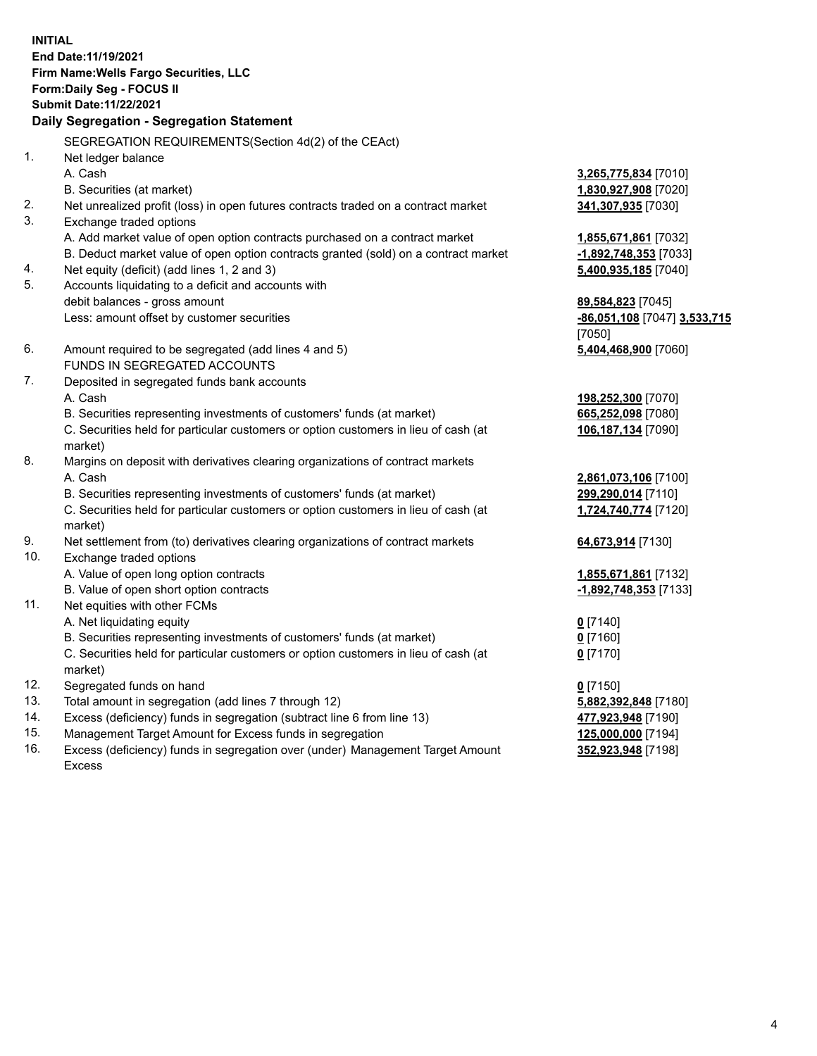**INITIAL End Date:11/19/2021 Firm Name:Wells Fargo Securities, LLC Form:Daily Seg - FOCUS II Submit Date:11/22/2021 Daily Segregation - Segregation Statement** SEGREGATION REQUIREMENTS(Section 4d(2) of the CEAct) 1. Net ledger balance A. Cash **3,265,775,834** [7010] B. Securities (at market) **1,830,927,908** [7020] 2. Net unrealized profit (loss) in open futures contracts traded on a contract market **341,307,935** [7030] 3. Exchange traded options A. Add market value of open option contracts purchased on a contract market **1,855,671,861** [7032] B. Deduct market value of open option contracts granted (sold) on a contract market **-1,892,748,353** [7033] 4. Net equity (deficit) (add lines 1, 2 and 3) **5,400,935,185** [7040] 5. Accounts liquidating to a deficit and accounts with debit balances - gross amount **89,584,823** [7045] Less: amount offset by customer securities **-86,051,108** [7047] **3,533,715** [7050]

- 6. Amount required to be segregated (add lines 4 and 5) **5,404,468,900** [7060] FUNDS IN SEGREGATED ACCOUNTS
- 7. Deposited in segregated funds bank accounts A. Cash **198,252,300** [7070]
	- B. Securities representing investments of customers' funds (at market) **6**

C. Securities held for particular customers or option customers in lieu of cash (at market)

- 8. Margins on deposit with derivatives clearing organizations of contract markets A. Cash **2,861,073,106** [7100]
	- B. Securities representing investments of customers' funds (at market) **299,290,014** [7110]

C. Securities held for particular customers or option customers in lieu of cash (at market)

- 9. Net settlement from (to) derivatives clearing organizations of contract markets **64,673,914** [7130]
- 10. Exchange traded options A. Value of open long option contracts **1,855,671,861** [7132]
	- B. Value of open short option contracts **-1,892,748,353** [7133]
- 11. Net equities with other FCMs
	- A. Net liquidating equity **0** [7140]
	- B. Securities representing investments of customers' funds (at market) **0** [7160]
	- C. Securities held for particular customers or option customers in lieu of cash (at market)
- 12. Segregated funds on hand **0** [7150]
- 13. Total amount in segregation (add lines 7 through 12) **5,882,392,848** [7180]
- 14. Excess (deficiency) funds in segregation (subtract line 6 from line 13) **477,923,948** [7190]
- 15. Management Target Amount for Excess funds in segregation **125,000,000** [7194]
- 16. Excess (deficiency) funds in segregation over (under) Management Target Amount Excess

| 198,252,300 [7070] |  |
|--------------------|--|
| 665,252,098 [7080] |  |
| 106,187,134 [7090] |  |
|                    |  |
|                    |  |
|                    |  |

**1,724,740,774** [7120]

**0** [7170]

**352,923,948** [7198]